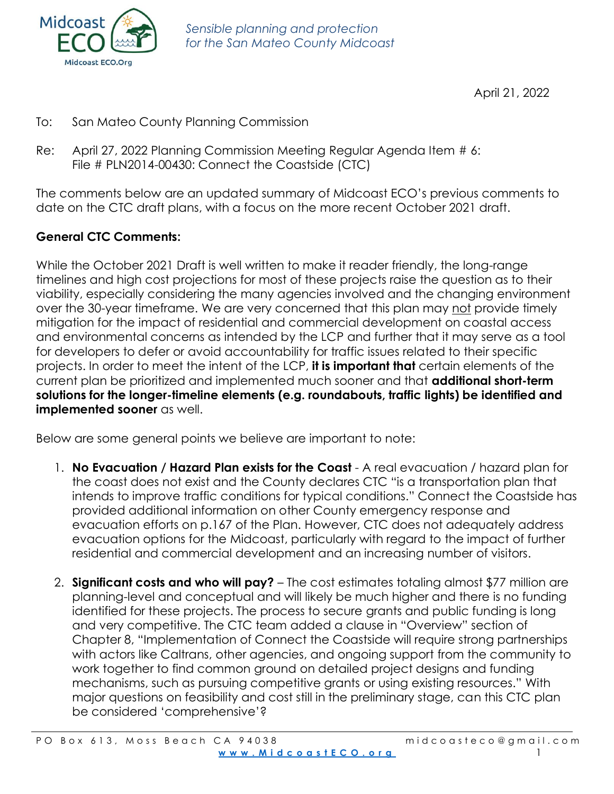

April 21, 2022

- To: San Mateo County Planning Commission
- Re: April 27, 2022 Planning Commission Meeting Regular Agenda Item # 6: File # PLN2014-00430: Connect the Coastside (CTC)

The comments below are an updated summary of Midcoast ECO's previous comments to date on the CTC draft plans, with a focus on the more recent October 2021 draft.

## **General CTC Comments:**

While the October 2021 Draft is well written to make it reader friendly, the long-range timelines and high cost projections for most of these projects raise the question as to their viability, especially considering the many agencies involved and the changing environment over the 30-year timeframe. We are very concerned that this plan may not provide timely mitigation for the impact of residential and commercial development on coastal access and environmental concerns as intended by the LCP and further that it may serve as a tool for developers to defer or avoid accountability for traffic issues related to their specific projects. In order to meet the intent of the LCP, **it is important that** certain elements of the current plan be prioritized and implemented much sooner and that **additional short-term solutions for the longer-timeline elements (e.g. roundabouts, traffic lights) be identified and implemented sooner** as well.

Below are some general points we believe are important to note:

- 1. **No Evacuation / Hazard Plan exists for the Coast** A real evacuation / hazard plan for the coast does not exist and the County declares CTC "is a transportation plan that intends to improve traffic conditions for typical conditions." Connect the Coastside has provided additional information on other County emergency response and evacuation efforts on p.167 of the Plan. However, CTC does not adequately address evacuation options for the Midcoast, particularly with regard to the impact of further residential and commercial development and an increasing number of visitors.
- 2. **Significant costs and who will pay?** The cost estimates totaling almost \$77 million are planning-level and conceptual and will likely be much higher and there is no funding identified for these projects. The process to secure grants and public funding is long and very competitive. The CTC team added a clause in "Overview" section of Chapter 8, "Implementation of Connect the Coastside will require strong partnerships with actors like Caltrans, other agencies, and ongoing support from the community to work together to find common ground on detailed project designs and funding mechanisms, such as pursuing competitive grants or using existing resources." With major questions on feasibility and cost still in the preliminary stage, can this CTC plan be considered 'comprehensive'?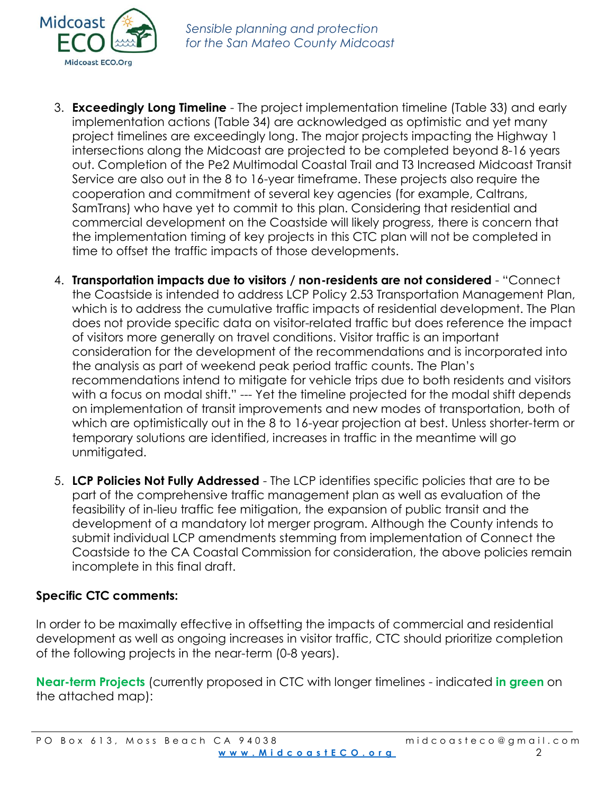

- 3. **Exceedingly Long Timeline** The project implementation timeline (Table 33) and early implementation actions (Table 34) are acknowledged as optimistic and yet many project timelines are exceedingly long. The major projects impacting the Highway 1 intersections along the Midcoast are projected to be completed beyond 8-16 years out. Completion of the Pe2 Multimodal Coastal Trail and T3 Increased Midcoast Transit Service are also out in the 8 to 16-year timeframe. These projects also require the cooperation and commitment of several key agencies (for example, Caltrans, SamTrans) who have yet to commit to this plan. Considering that residential and commercial development on the Coastside will likely progress, there is concern that the implementation timing of key projects in this CTC plan will not be completed in time to offset the traffic impacts of those developments.
- 4. **Transportation impacts due to visitors / non-residents are not considered** "Connect the Coastside is intended to address LCP Policy 2.53 Transportation Management Plan, which is to address the cumulative traffic impacts of residential development. The Plan does not provide specific data on visitor-related traffic but does reference the impact of visitors more generally on travel conditions. Visitor traffic is an important consideration for the development of the recommendations and is incorporated into the analysis as part of weekend peak period traffic counts. The Plan's recommendations intend to mitigate for vehicle trips due to both residents and visitors with a focus on modal shift." --- Yet the timeline projected for the modal shift depends on implementation of transit improvements and new modes of transportation, both of which are optimistically out in the 8 to 16-year projection at best. Unless shorter-term or temporary solutions are identified, increases in traffic in the meantime will go unmitigated.
- 5. **LCP Policies Not Fully Addressed**  The LCP identifies specific policies that are to be part of the comprehensive traffic management plan as well as evaluation of the feasibility of in-lieu traffic fee mitigation, the expansion of public transit and the development of a mandatory lot merger program. Although the County intends to submit individual LCP amendments stemming from implementation of Connect the Coastside to the CA Coastal Commission for consideration, the above policies remain incomplete in this final draft.

## **Specific CTC comments:**

In order to be maximally effective in offsetting the impacts of commercial and residential development as well as ongoing increases in visitor traffic, CTC should prioritize completion of the following projects in the near-term (0-8 years).

**Near-term Projects** (currently proposed in CTC with longer timelines - indicated **in green** on the attached map):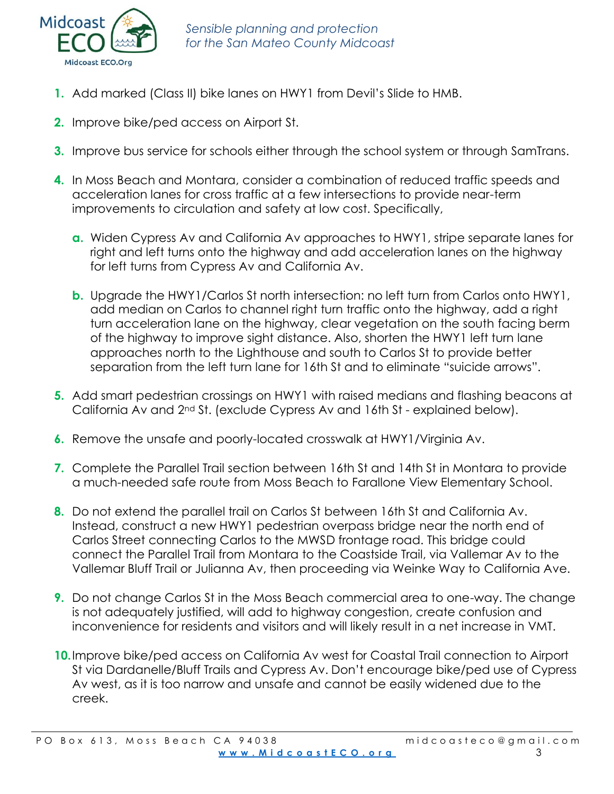

- **1.** Add marked (Class II) bike lanes on HWY1 from Devil's Slide to HMB.
- **2.** Improve bike/ped access on Airport St.
- **3.** Improve bus service for schools either through the school system or through SamTrans.
- **4.** In Moss Beach and Montara, consider a combination of reduced traffic speeds and acceleration lanes for cross traffic at a few intersections to provide near-term improvements to circulation and safety at low cost. Specifically,
	- **a.** Widen Cypress Av and California Av approaches to HWY1, stripe separate lanes for right and left turns onto the highway and add acceleration lanes on the highway for left turns from Cypress Av and California Av.
	- **b.** Upgrade the HWY1/Carlos St north intersection: no left turn from Carlos onto HWY1, add median on Carlos to channel right turn traffic onto the highway, add a right turn acceleration lane on the highway, clear vegetation on the south facing berm of the highway to improve sight distance. Also, shorten the HWY1 left turn lane approaches north to the Lighthouse and south to Carlos St to provide better separation from the left turn lane for 16th St and to eliminate "suicide arrows".
- **5.** Add smart pedestrian crossings on HWY1 with raised medians and flashing beacons at California Av and 2nd St. (exclude Cypress Av and 16th St - explained below).
- **6.** Remove the unsafe and poorly-located crosswalk at HWY1/Virginia Av.
- **7.** Complete the Parallel Trail section between 16th St and 14th St in Montara to provide a much-needed safe route from Moss Beach to Farallone View Elementary School.
- **8.** Do not extend the parallel trail on Carlos St between 16th St and California Av. Instead, construct a new HWY1 pedestrian overpass bridge near the north end of Carlos Street connecting Carlos to the MWSD frontage road. This bridge could connect the Parallel Trail from Montara to the Coastside Trail, via Vallemar Av to the Vallemar Bluff Trail or Julianna Av, then proceeding via Weinke Way to California Ave.
- **9.** Do not change Carlos St in the Moss Beach commercial area to one-way. The change is not adequately justified, will add to highway congestion, create confusion and inconvenience for residents and visitors and will likely result in a net increase in VMT.
- **10.**Improve bike/ped access on California Av west for Coastal Trail connection to Airport St via Dardanelle/Bluff Trails and Cypress Av. Don't encourage bike/ped use of Cypress Av west, as it is too narrow and unsafe and cannot be easily widened due to the creek.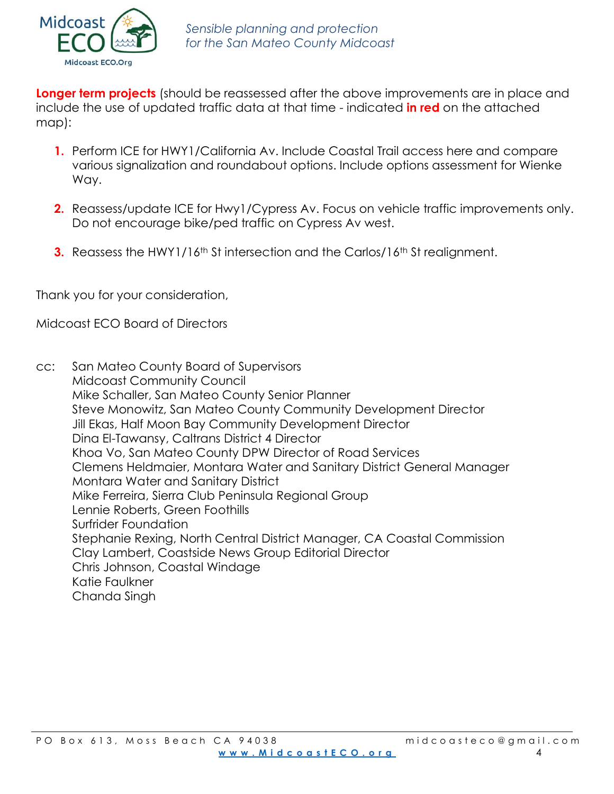

**Longer term projects** (should be reassessed after the above improvements are in place and include the use of updated traffic data at that time - indicated **in red** on the attached map):

- **1.** Perform ICE for HWY1/California Av. Include Coastal Trail access here and compare various signalization and roundabout options. Include options assessment for Wienke Way.
- **2.** Reassess/update ICE for Hwy1/Cypress Av. Focus on vehicle traffic improvements only. Do not encourage bike/ped traffic on Cypress Av west.
- **3.** Reassess the HWY1/16<sup>th</sup> St intersection and the Carlos/16<sup>th</sup> St realignment.

Thank you for your consideration,

Midcoast ECO Board of Directors

cc: San Mateo County Board of Supervisors Midcoast Community Council Mike Schaller, San Mateo County Senior Planner Steve Monowitz, San Mateo County Community Development Director Jill Ekas, Half Moon Bay Community Development Director Dina El-Tawansy, Caltrans District 4 Director Khoa Vo, San Mateo County DPW Director of Road Services Clemens Heldmaier, Montara Water and Sanitary District General Manager Montara Water and Sanitary District Mike Ferreira, Sierra Club Peninsula Regional Group Lennie Roberts, Green Foothills Surfrider Foundation Stephanie Rexing, North Central District Manager, CA Coastal Commission Clay Lambert, Coastside News Group Editorial Director Chris Johnson, Coastal Windage Katie Faulkner Chanda Singh